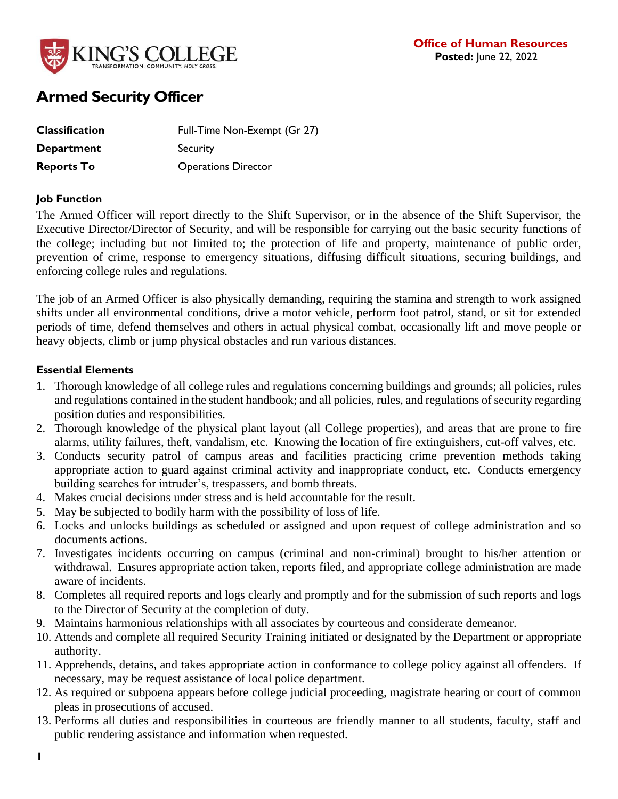

# **Armed Security Officer**

| <b>Classification</b> | Full-Time Non-Exempt (Gr 27) |
|-----------------------|------------------------------|
| Department            | Security                     |
| <b>Reports To</b>     | <b>Operations Director</b>   |

### **Job Function**

The Armed Officer will report directly to the Shift Supervisor, or in the absence of the Shift Supervisor, the Executive Director/Director of Security, and will be responsible for carrying out the basic security functions of the college; including but not limited to; the protection of life and property, maintenance of public order, prevention of crime, response to emergency situations, diffusing difficult situations, securing buildings, and enforcing college rules and regulations.

The job of an Armed Officer is also physically demanding, requiring the stamina and strength to work assigned shifts under all environmental conditions, drive a motor vehicle, perform foot patrol, stand, or sit for extended periods of time, defend themselves and others in actual physical combat, occasionally lift and move people or heavy objects, climb or jump physical obstacles and run various distances.

### **Essential Elements**

- 1. Thorough knowledge of all college rules and regulations concerning buildings and grounds; all policies, rules and regulations contained in the student handbook; and all policies, rules, and regulations of security regarding position duties and responsibilities.
- 2. Thorough knowledge of the physical plant layout (all College properties), and areas that are prone to fire alarms, utility failures, theft, vandalism, etc. Knowing the location of fire extinguishers, cut-off valves, etc.
- 3. Conducts security patrol of campus areas and facilities practicing crime prevention methods taking appropriate action to guard against criminal activity and inappropriate conduct, etc. Conducts emergency building searches for intruder's, trespassers, and bomb threats.
- 4. Makes crucial decisions under stress and is held accountable for the result.
- 5. May be subjected to bodily harm with the possibility of loss of life.
- 6. Locks and unlocks buildings as scheduled or assigned and upon request of college administration and so documents actions.
- 7. Investigates incidents occurring on campus (criminal and non-criminal) brought to his/her attention or withdrawal. Ensures appropriate action taken, reports filed, and appropriate college administration are made aware of incidents.
- 8. Completes all required reports and logs clearly and promptly and for the submission of such reports and logs to the Director of Security at the completion of duty.
- 9. Maintains harmonious relationships with all associates by courteous and considerate demeanor.
- 10. Attends and complete all required Security Training initiated or designated by the Department or appropriate authority.
- 11. Apprehends, detains, and takes appropriate action in conformance to college policy against all offenders. If necessary, may be request assistance of local police department.
- 12. As required or subpoena appears before college judicial proceeding, magistrate hearing or court of common pleas in prosecutions of accused.
- 13. Performs all duties and responsibilities in courteous are friendly manner to all students, faculty, staff and public rendering assistance and information when requested.